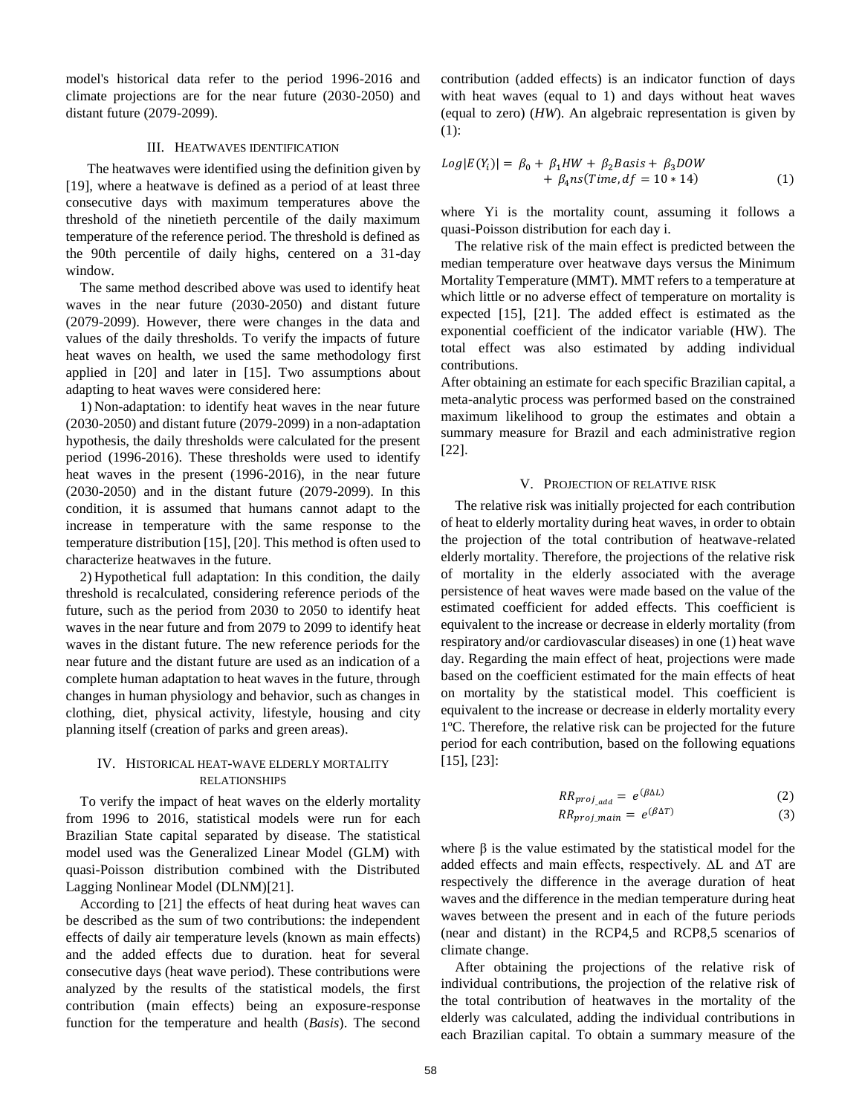model's historical data refer to the period 1996-2016 and climate projections are for the near future (2030-2050) and distant future (2079-2099).

## III. HEATWAVES IDENTIFICATION

 The heatwaves were identified using the definition given by [19], where a heatwave is defined as a period of at least three consecutive days with maximum temperatures above the threshold of the ninetieth percentile of the daily maximum temperature of the reference period. The threshold is defined as the 90th percentile of daily highs, centered on a 31-day window.

The same method described above was used to identify heat waves in the near future (2030-2050) and distant future (2079-2099). However, there were changes in the data and values of the daily thresholds. To verify the impacts of future heat waves on health, we used the same methodology first applied in [20] and later in [15]. Two assumptions about adapting to heat waves were considered here:

1) Non-adaptation: to identify heat waves in the near future (2030-2050) and distant future (2079-2099) in a non-adaptation hypothesis, the daily thresholds were calculated for the present period (1996-2016). These thresholds were used to identify heat waves in the present (1996-2016), in the near future (2030-2050) and in the distant future (2079-2099). In this condition, it is assumed that humans cannot adapt to the increase in temperature with the same response to the temperature distribution [15], [20]. This method is often used to characterize heatwaves in the future.

2) Hypothetical full adaptation: In this condition, the daily threshold is recalculated, considering reference periods of the future, such as the period from 2030 to 2050 to identify heat waves in the near future and from 2079 to 2099 to identify heat waves in the distant future. The new reference periods for the near future and the distant future are used as an indication of a complete human adaptation to heat waves in the future, through changes in human physiology and behavior, such as changes in clothing, diet, physical activity, lifestyle, housing and city planning itself (creation of parks and green areas).

## IV. HISTORICAL HEAT-WAVE ELDERLY MORTALITY RELATIONSHIPS

To verify the impact of heat waves on the elderly mortality from 1996 to 2016, statistical models were run for each Brazilian State capital separated by disease. The statistical model used was the Generalized Linear Model (GLM) with quasi-Poisson distribution combined with the Distributed Lagging Nonlinear Model (DLNM)[21].

According to [21] the effects of heat during heat waves can be described as the sum of two contributions: the independent effects of daily air temperature levels (known as main effects) and the added effects due to duration. heat for several consecutive days (heat wave period). These contributions were analyzed by the results of the statistical models, the first contribution (main effects) being an exposure-response function for the temperature and health (*Basis*). The second contribution (added effects) is an indicator function of days with heat waves (equal to 1) and days without heat waves (equal to zero) (*HW*). An algebraic representation is given by (1):

$$
Log|E(Y_i)| = \beta_0 + \beta_1 HW + \beta_2 Basis + \beta_3 Dow + \beta_4 ns(Time, df = 10 * 14)
$$
 (1)

where Yi is the mortality count, assuming it follows a quasi-Poisson distribution for each day i.

The relative risk of the main effect is predicted between the median temperature over heatwave days versus the Minimum Mortality Temperature (MMT). MMT refers to a temperature at which little or no adverse effect of temperature on mortality is expected [15], [21]. The added effect is estimated as the exponential coefficient of the indicator variable (HW). The total effect was also estimated by adding individual contributions.

After obtaining an estimate for each specific Brazilian capital, a meta-analytic process was performed based on the constrained maximum likelihood to group the estimates and obtain a summary measure for Brazil and each administrative region [22].

## V. PROJECTION OF RELATIVE RISK

The relative risk was initially projected for each contribution of heat to elderly mortality during heat waves, in order to obtain the projection of the total contribution of heatwave-related elderly mortality. Therefore, the projections of the relative risk of mortality in the elderly associated with the average persistence of heat waves were made based on the value of the estimated coefficient for added effects. This coefficient is equivalent to the increase or decrease in elderly mortality (from respiratory and/or cardiovascular diseases) in one (1) heat wave day. Regarding the main effect of heat, projections were made based on the coefficient estimated for the main effects of heat on mortality by the statistical model. This coefficient is equivalent to the increase or decrease in elderly mortality every 1ºC. Therefore, the relative risk can be projected for the future period for each contribution, based on the following equations [15], [23]:

$$
RR_{proj\_add} = e^{(\beta \Delta L)} \tag{2}
$$

$$
RR_{proj\_main} = e^{(\beta \Delta T)} \tag{3}
$$

where  $\beta$  is the value estimated by the statistical model for the added effects and main effects, respectively. ∆L and ∆T are respectively the difference in the average duration of heat waves and the difference in the median temperature during heat waves between the present and in each of the future periods (near and distant) in the RCP4,5 and RCP8,5 scenarios of climate change.

After obtaining the projections of the relative risk of individual contributions, the projection of the relative risk of the total contribution of heatwaves in the mortality of the elderly was calculated, adding the individual contributions in each Brazilian capital. To obtain a summary measure of the